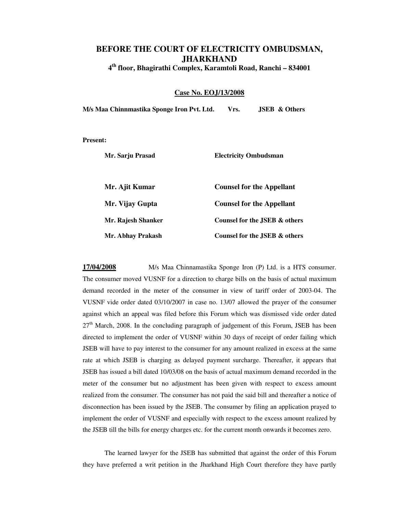## **BEFORE THE COURT OF ELECTRICITY OMBUDSMAN, JHARKHAND 4 th floor, Bhagirathi Complex, Karamtoli Road, Ranchi – 834001**

## **Case No. EOJ/13/2008**

**M/s Maa Chinnmastika Sponge Iron Pvt. Ltd. Vrs. JSEB & Others** 

**Present:** 

| Mr. Sarju Prasad   | <b>Electricity Ombudsman</b>     |
|--------------------|----------------------------------|
| Mr. Ajit Kumar     | <b>Counsel for the Appellant</b> |
| Mr. Vijay Gupta    | <b>Counsel for the Appellant</b> |
| Mr. Rajesh Shanker | Counsel for the JSEB & others    |
| Mr. Abhay Prakash  | Counsel for the JSEB & others    |

**17/04/2008** M/s Maa Chinnamastika Sponge Iron (P) Ltd. is a HTS consumer. The consumer moved VUSNF for a direction to charge bills on the basis of actual maximum demand recorded in the meter of the consumer in view of tariff order of 2003-04. The VUSNF vide order dated 03/10/2007 in case no. 13/07 allowed the prayer of the consumer against which an appeal was filed before this Forum which was dismissed vide order dated  $27<sup>th</sup>$  March, 2008. In the concluding paragraph of judgement of this Forum, JSEB has been directed to implement the order of VUSNF within 30 days of receipt of order failing which JSEB will have to pay interest to the consumer for any amount realized in excess at the same rate at which JSEB is charging as delayed payment surcharge. Thereafter, it appears that JSEB has issued a bill dated 10/03/08 on the basis of actual maximum demand recorded in the meter of the consumer but no adjustment has been given with respect to excess amount realized from the consumer. The consumer has not paid the said bill and thereafter a notice of disconnection has been issued by the JSEB. The consumer by filing an application prayed to implement the order of VUSNF and especially with respect to the excess amount realized by the JSEB till the bills for energy charges etc. for the current month onwards it becomes zero.

 The learned lawyer for the JSEB has submitted that against the order of this Forum they have preferred a writ petition in the Jharkhand High Court therefore they have partly